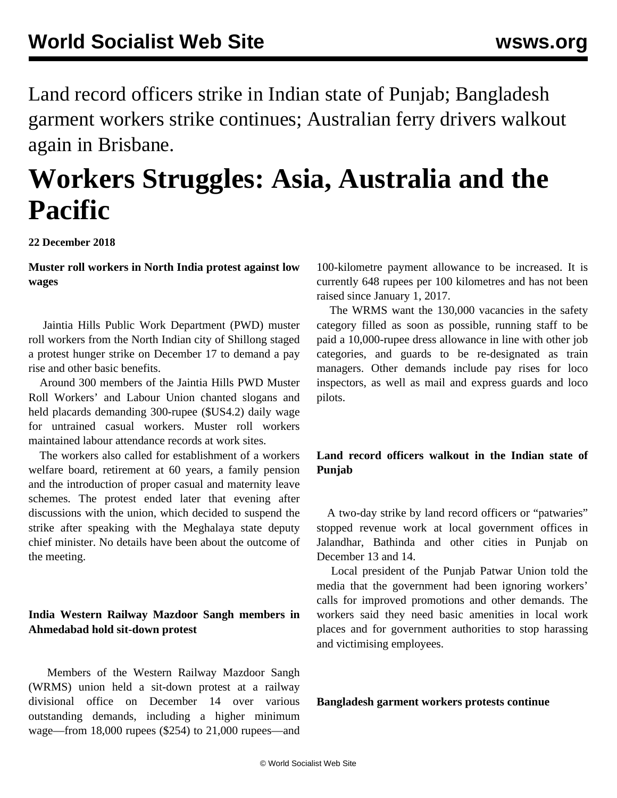Land record officers strike in Indian state of Punjab; Bangladesh garment workers strike continues; Australian ferry drivers walkout again in Brisbane.

# **Workers Struggles: Asia, Australia and the Pacific**

**22 December 2018**

**Muster roll workers in North India protest against low wages**

 Jaintia Hills Public Work Department (PWD) muster roll workers from the North Indian city of Shillong staged a protest hunger strike on December 17 to demand a pay rise and other basic benefits.

 Around 300 members of the Jaintia Hills PWD Muster Roll Workers' and Labour Union chanted slogans and held placards demanding 300-rupee (\$US4.2) daily wage for untrained casual workers. Muster roll workers maintained labour attendance records at work sites.

 The workers also called for establishment of a workers welfare board, retirement at 60 years, a family pension and the introduction of proper casual and maternity leave schemes. The protest ended later that evening after discussions with the union, which decided to suspend the strike after speaking with the Meghalaya state deputy chief minister. No details have been about the outcome of the meeting.

## **India Western Railway Mazdoor Sangh members in Ahmedabad hold sit-down protest**

 Members of the Western Railway Mazdoor Sangh (WRMS) union held a sit-down protest at a railway divisional office on December 14 over various outstanding demands, including a higher minimum wage—from 18,000 rupees (\$254) to 21,000 rupees—and 100-kilometre payment allowance to be increased. It is currently 648 rupees per 100 kilometres and has not been raised since January 1, 2017.

 The WRMS want the 130,000 vacancies in the safety category filled as soon as possible, running staff to be paid a 10,000-rupee dress allowance in line with other job categories, and guards to be re-designated as train managers. Other demands include pay rises for loco inspectors, as well as mail and express guards and loco pilots.

# **Land record officers walkout in the Indian state of Punjab**

 A two-day strike by land record officers or "patwaries" stopped revenue work at local government offices in Jalandhar, Bathinda and other cities in Punjab on December 13 and 14.

 Local president of the Punjab Patwar Union told the media that the government had been ignoring workers' calls for improved promotions and other demands. The workers said they need basic amenities in local work places and for government authorities to stop harassing and victimising employees.

#### **Bangladesh garment workers protests continue**